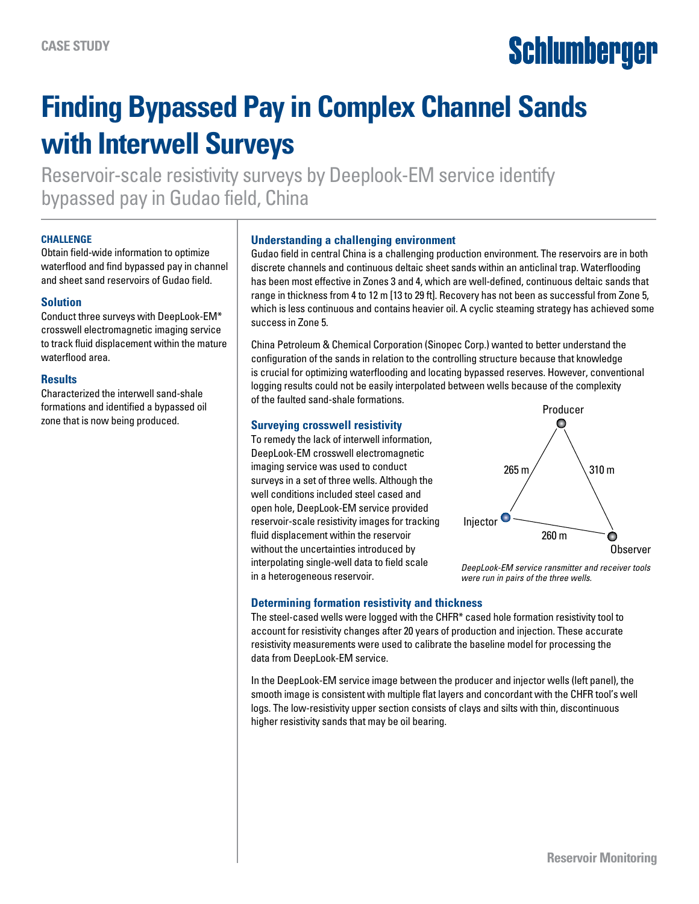# Schlumberger

## **Finding Bypassed Pay in Complex Channel Sands with Interwell Surveys**

Reservoir-scale resistivity surveys by Deeplook-EM service identify bypassed pay in Gudao field, China

#### **CHALLENGE**

Obtain field-wide information to optimize waterflood and find bypassed pay in channel and sheet sand reservoirs of Gudao field.

#### **Solution**

Conduct three surveys with DeepLook-EM\* crosswell electromagnetic imaging service to track fluid displacement within the mature waterflood area.

#### **Results**

Characterized the interwell sand-shale formations and identified a bypassed oil zone that is now being produced.

#### **Understanding a challenging environment**

Gudao field in central China is a challenging production environment. The reservoirs are in both discrete channels and continuous deltaic sheet sands within an anticlinal trap. Waterflooding has been most effective in Zones 3 and 4, which are well-defined, continuous deltaic sands that range in thickness from 4 to 12 m [13 to 29 ft]. Recovery has not been as successful from Zone 5, which is less continuous and contains heavier oil. A cyclic steaming strategy has achieved some success in Zone 5.

China Petroleum & Chemical Corporation (Sinopec Corp.) wanted to better understand the configuration of the sands in relation to the controlling structure because that knowledge is crucial for optimizing waterflooding and locating bypassed reserves. However, conventional logging results could not be easily interpolated between wells because of the complexity of the faulted sand-shale formations.

#### **Surveying crosswell resistivity**

To remedy the lack of interwell information, DeepLook-EM crosswell electromagnetic imaging service was used to conduct surveys in a set of three wells. Although the well conditions included steel cased and open hole, DeepLook-EM service provided reservoir-scale resistivity images for tracking fluid displacement within the reservoir without the uncertainties introduced by interpolating single-well data to field scale in a heterogeneous reservoir.



*DeepLook-EM service ransmitter and receiver tools were run in pairs of the three wells.*

#### **Determining formation resistivity and thickness**

The steel-cased wells were logged with the CHFR\* cased hole formation resistivity tool to account for resistivity changes after 20 years of production and injection. These accurate resistivity measurements were used to calibrate the baseline model for processing the data from DeepLook-EM service.

In the DeepLook-EM service image between the producer and injector wells (left panel), the smooth image is consistent with multiple flat layers and concordant with the CHFR tool's well logs. The low-resistivity upper section consists of clays and silts with thin, discontinuous higher resistivity sands that may be oil bearing.